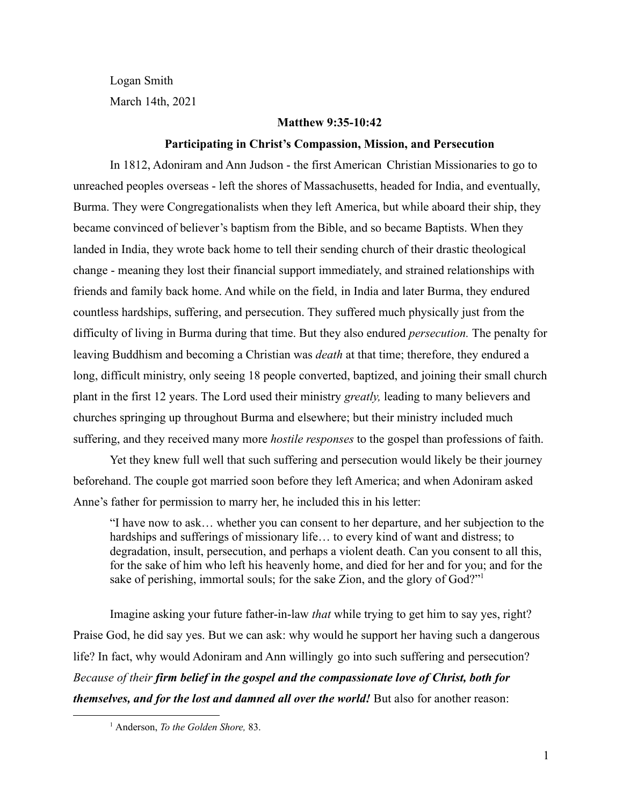Logan Smith March 14th, 2021

#### **Matthew 9:35-10:42**

### **Participating in Christ's Compassion, Mission, and Persecution**

In 1812, Adoniram and Ann Judson - the first American Christian Missionaries to go to unreached peoples overseas - left the shores of Massachusetts, headed for India, and eventually, Burma. They were Congregationalists when they left America, but while aboard their ship, they became convinced of believer's baptism from the Bible, and so became Baptists. When they landed in India, they wrote back home to tell their sending church of their drastic theological change - meaning they lost their financial support immediately, and strained relationships with friends and family back home. And while on the field, in India and later Burma, they endured countless hardships, suffering, and persecution. They suffered much physically just from the difficulty of living in Burma during that time. But they also endured *persecution.* The penalty for leaving Buddhism and becoming a Christian was *death* at that time; therefore, they endured a long, difficult ministry, only seeing 18 people converted, baptized, and joining their small church plant in the first 12 years. The Lord used their ministry *greatly,* leading to many believers and churches springing up throughout Burma and elsewhere; but their ministry included much suffering, and they received many more *hostile responses* to the gospel than professions of faith.

Yet they knew full well that such suffering and persecution would likely be their journey beforehand. The couple got married soon before they left America; and when Adoniram asked Anne's father for permission to marry her, he included this in his letter:

"I have now to ask… whether you can consent to her departure, and her subjection to the hardships and sufferings of missionary life... to every kind of want and distress; to degradation, insult, persecution, and perhaps a violent death. Can you consent to all this, for the sake of him who left his heavenly home, and died for her and for you; and for the sake of perishing, immortal souls; for the sake Zion, and the glory of God?"<sup>1</sup>

Imagine asking your future father-in-law *that* while trying to get him to say yes, right? Praise God, he did say yes. But we can ask: why would he support her having such a dangerous life? In fact, why would Adoniram and Ann willingly go into such suffering and persecution? *Because of their firm belief in the gospel and the compassionate love of Christ, both for themselves, and for the lost and damned all over the world!* But also for another reason:

<sup>1</sup> Anderson, *To the Golden Shore,* 83.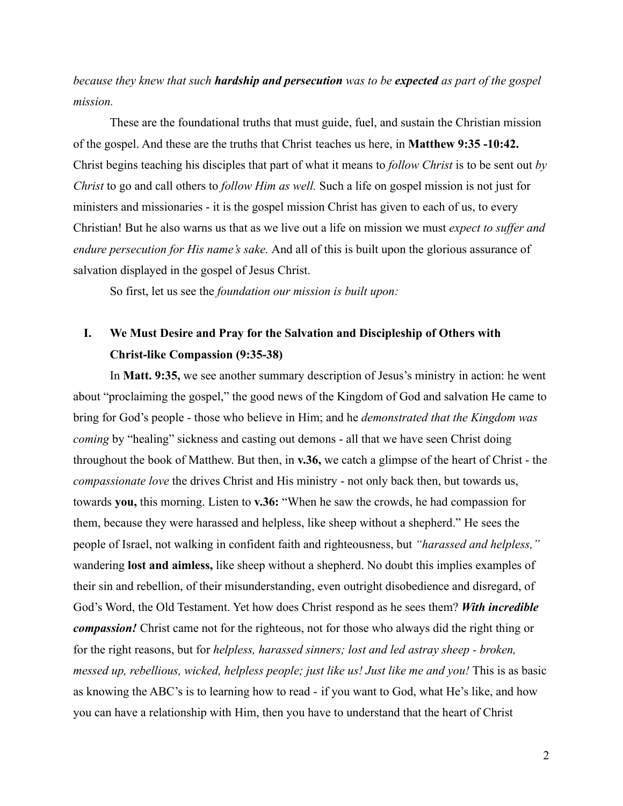*because they knew that such hardship and persecution was to be expected as part of the gospel mission.*

These are the foundational truths that must guide, fuel, and sustain the Christian mission of the gospel. And these are the truths that Christ teaches us here, in **Matthew 9:35 -10:42.** Christ begins teaching his disciples that part of what it means to *follow Christ* is to be sent out *by Christ* to go and call others to *follow Him as well.* Such a life on gospel mission is not just for ministers and missionaries - it is the gospel mission Christ has given to each of us, to every Christian! But he also warns us that as we live out a life on mission we must *expect to suffer and endure persecution for His name's sake.* And all of this is built upon the glorious assurance of salvation displayed in the gospel of Jesus Christ.

So first, let us see the *foundation our mission is built upon:*

## **I. We Must Desire and Pray for the Salvation and Discipleship of Others with Christ-like Compassion (9:35-38)**

In **Matt. 9:35,** we see another summary description of Jesus's ministry in action: he went about "proclaiming the gospel," the good news of the Kingdom of God and salvation He came to bring for God's people - those who believe in Him; and he *demonstrated that the Kingdom was coming* by "healing" sickness and casting out demons - all that we have seen Christ doing throughout the book of Matthew. But then, in **v.36,** we catch a glimpse of the heart of Christ - the *compassionate love* the drives Christ and His ministry - not only back then, but towards us, towards **you,** this morning. Listen to **v.36:** "When he saw the crowds, he had compassion for them, because they were harassed and helpless, like sheep without a shepherd." He sees the people of Israel, not walking in confident faith and righteousness, but *"harassed and helpless,"* wandering **lost and aimless,** like sheep without a shepherd. No doubt this implies examples of their sin and rebellion, of their misunderstanding, even outright disobedience and disregard, of God's Word, the Old Testament. Yet how does Christ respond as he sees them? *With incredible compassion!* Christ came not for the righteous, not for those who always did the right thing or for the right reasons, but for *helpless, harassed sinners; lost and led astray sheep - broken, messed up, rebellious, wicked, helpless people; just like us! Just like me and you!* This is as basic as knowing the ABC's is to learning how to read - if you want to God, what He's like, and how you can have a relationship with Him, then you have to understand that the heart of Christ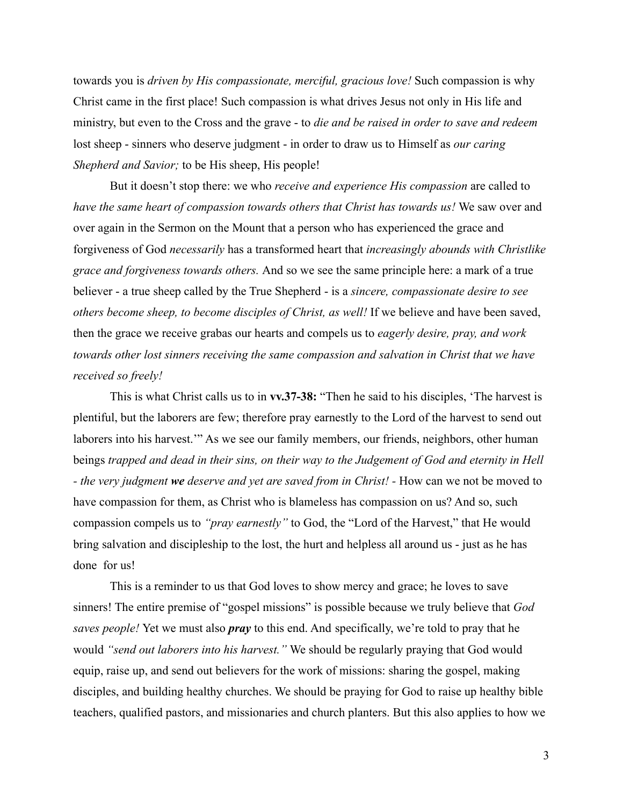towards you is *driven by His compassionate, merciful, gracious love!* Such compassion is why Christ came in the first place! Such compassion is what drives Jesus not only in His life and ministry, but even to the Cross and the grave - to *die and be raised in order to save and redeem* lost sheep - sinners who deserve judgment - in order to draw us to Himself as *our caring Shepherd and Savior;* to be His sheep, His people!

But it doesn't stop there: we who *receive and experience His compassion* are called to *have the same heart of compassion towards others that Christ has towards us!* We saw over and over again in the Sermon on the Mount that a person who has experienced the grace and forgiveness of God *necessarily* has a transformed heart that *increasingly abounds with Christlike grace and forgiveness towards others.* And so we see the same principle here: a mark of a true believer - a true sheep called by the True Shepherd - is a *sincere, compassionate desire to see others become sheep, to become disciples of Christ, as well!* If we believe and have been saved, then the grace we receive grabas our hearts and compels us to *eagerly desire, pray, and work towards other lost sinners receiving the same compassion and salvation in Christ that we have received so freely!*

This is what Christ calls us to in **vv.37-38:** "Then he said to his disciples, 'The harvest is plentiful, but the laborers are few; therefore pray earnestly to the Lord of the harvest to send out laborers into his harvest.'" As we see our family members, our friends, neighbors, other human beings *trapped and dead in their sins, on their way to the Judgement of God and eternity in Hell - the very judgment we deserve and yet are saved from in Christ! -* How can we not be moved to have compassion for them, as Christ who is blameless has compassion on us? And so, such compassion compels us to *"pray earnestly"* to God, the "Lord of the Harvest," that He would bring salvation and discipleship to the lost, the hurt and helpless all around us - just as he has done for us!

This is a reminder to us that God loves to show mercy and grace; he loves to save sinners! The entire premise of "gospel missions" is possible because we truly believe that *God saves people!* Yet we must also *pray* to this end. And specifically, we're told to pray that he would *"send out laborers into his harvest."* We should be regularly praying that God would equip, raise up, and send out believers for the work of missions: sharing the gospel, making disciples, and building healthy churches. We should be praying for God to raise up healthy bible teachers, qualified pastors, and missionaries and church planters. But this also applies to how we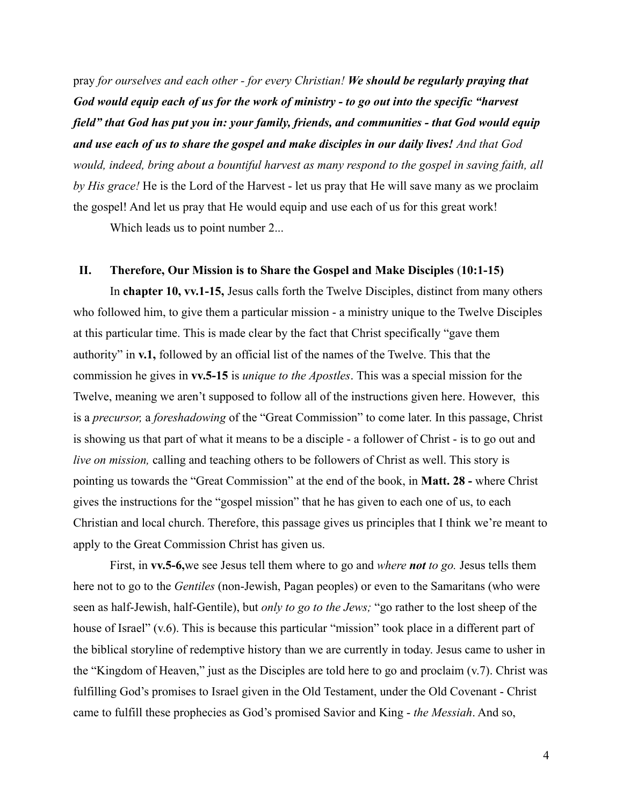pray *for ourselves and each other - for every Christian! We should be regularly praying that God would equip each of us for the work of ministry - to go out into the specific "harvest field" that God has put you in: your family, friends, and communities - that God would equip and use each of us to share the gospel and make disciples in our daily lives! And that God would, indeed, bring about a bountiful harvest as many respond to the gospel in saving faith, all by His grace!* He is the Lord of the Harvest - let us pray that He will save many as we proclaim the gospel! And let us pray that He would equip and use each of us for this great work!

Which leads us to point number 2...

### **II. Therefore, Our Mission is to Share the Gospel and Make Disciples** (**10:1-15)**

In **chapter 10, vv.1-15,** Jesus calls forth the Twelve Disciples, distinct from many others who followed him, to give them a particular mission - a ministry unique to the Twelve Disciples at this particular time. This is made clear by the fact that Christ specifically "gave them authority" in **v.1,** followed by an official list of the names of the Twelve. This that the commission he gives in **vv.5-15** is *unique to the Apostles*. This was a special mission for the Twelve, meaning we aren't supposed to follow all of the instructions given here. However, this is a *precursor,* a *foreshadowing* of the "Great Commission" to come later. In this passage, Christ is showing us that part of what it means to be a disciple - a follower of Christ - is to go out and *live on mission,* calling and teaching others to be followers of Christ as well. This story is pointing us towards the "Great Commission" at the end of the book, in **Matt. 28 -** where Christ gives the instructions for the "gospel mission" that he has given to each one of us, to each Christian and local church. Therefore, this passage gives us principles that I think we're meant to apply to the Great Commission Christ has given us.

First, in **vv.5-6,**we see Jesus tell them where to go and *where not to go.* Jesus tells them here not to go to the *Gentiles* (non-Jewish, Pagan peoples) or even to the Samaritans (who were seen as half-Jewish, half-Gentile), but *only to go to the Jews;* "go rather to the lost sheep of the house of Israel" (v.6). This is because this particular "mission" took place in a different part of the biblical storyline of redemptive history than we are currently in today. Jesus came to usher in the "Kingdom of Heaven," just as the Disciples are told here to go and proclaim (v.7). Christ was fulfilling God's promises to Israel given in the Old Testament, under the Old Covenant - Christ came to fulfill these prophecies as God's promised Savior and King - *the Messiah*. And so,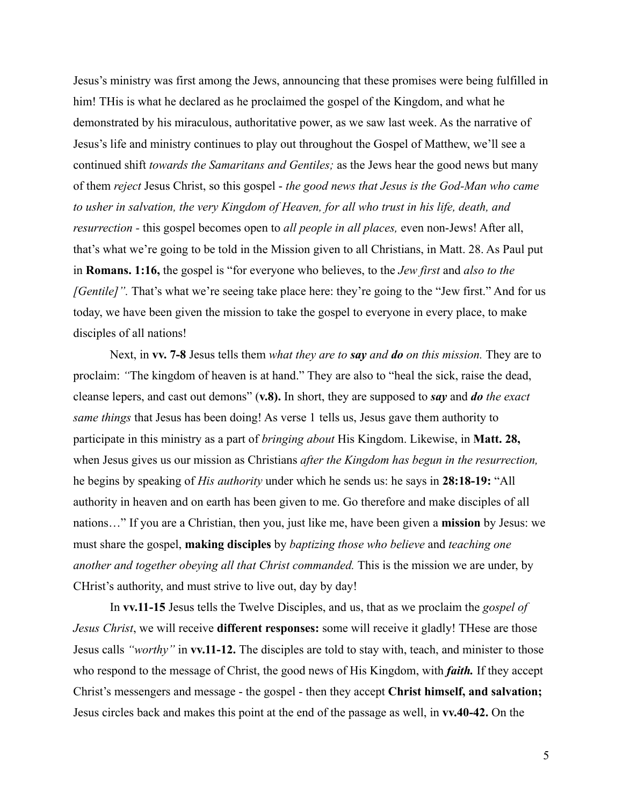Jesus's ministry was first among the Jews, announcing that these promises were being fulfilled in him! THis is what he declared as he proclaimed the gospel of the Kingdom, and what he demonstrated by his miraculous, authoritative power, as we saw last week. As the narrative of Jesus's life and ministry continues to play out throughout the Gospel of Matthew, we'll see a continued shift *towards the Samaritans and Gentiles;* as the Jews hear the good news but many of them *reject* Jesus Christ, so this gospel - *the good news that Jesus is the God-Man who came to usher in salvation, the very Kingdom of Heaven, for all who trust in his life, death, and resurrection -* this gospel becomes open to *all people in all places,* even non-Jews! After all, that's what we're going to be told in the Mission given to all Christians, in Matt. 28. As Paul put in **Romans. 1:16,** the gospel is "for everyone who believes, to the *Jew first* and *also to the [Gentile]*". That's what we're seeing take place here: they're going to the "Jew first." And for us today, we have been given the mission to take the gospel to everyone in every place, to make disciples of all nations!

Next, in **vv. 7-8** Jesus tells them *what they are to say and do on this mission.* They are to proclaim: *"*The kingdom of heaven is at hand." They are also to "heal the sick, raise the dead, cleanse lepers, and cast out demons" (**v.8).** In short, they are supposed to *say* and *do the exact same things* that Jesus has been doing! As verse 1 tells us, Jesus gave them authority to participate in this ministry as a part of *bringing about* His Kingdom. Likewise, in **Matt. 28,** when Jesus gives us our mission as Christians *after the Kingdom has begun in the resurrection,* he begins by speaking of *His authority* under which he sends us: he says in **28:18-19:** "All authority in heaven and on earth has been given to me. Go therefore and make disciples of all nations…" If you are a Christian, then you, just like me, have been given a **mission** by Jesus: we must share the gospel, **making disciples** by *baptizing those who believe* and *teaching one another and together obeying all that Christ commanded.* This is the mission we are under, by CHrist's authority, and must strive to live out, day by day!

In **vv.11-15** Jesus tells the Twelve Disciples, and us, that as we proclaim the *gospel of Jesus Christ*, we will receive **different responses:** some will receive it gladly! THese are those Jesus calls *"worthy"* in **vv.11-12.** The disciples are told to stay with, teach, and minister to those who respond to the message of Christ, the good news of His Kingdom, with *faith.* If they accept Christ's messengers and message - the gospel - then they accept **Christ himself, and salvation;** Jesus circles back and makes this point at the end of the passage as well, in **vv.40-42.** On the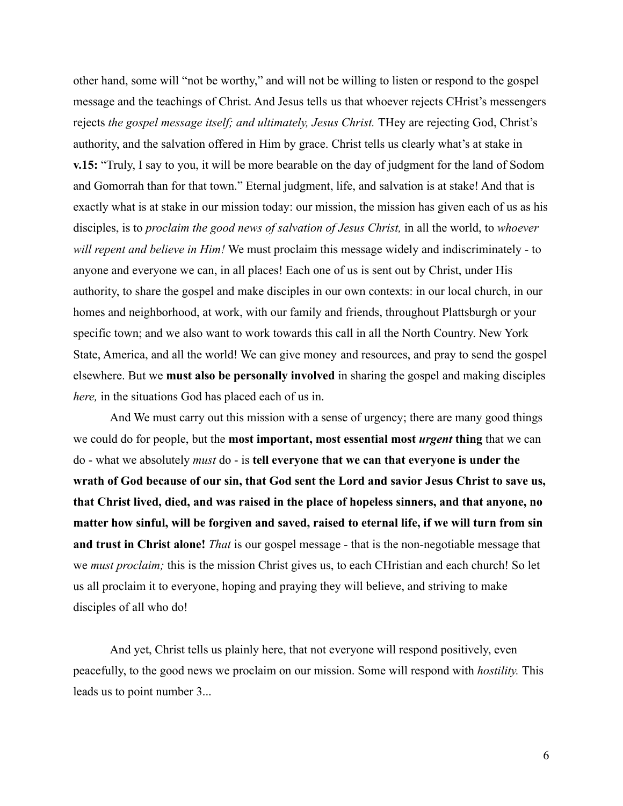other hand, some will "not be worthy," and will not be willing to listen or respond to the gospel message and the teachings of Christ. And Jesus tells us that whoever rejects CHrist's messengers rejects *the gospel message itself; and ultimately, Jesus Christ.* THey are rejecting God, Christ's authority, and the salvation offered in Him by grace. Christ tells us clearly what's at stake in **v.15:** "Truly, I say to you, it will be more bearable on the day of judgment for the land of Sodom and Gomorrah than for that town." Eternal judgment, life, and salvation is at stake! And that is exactly what is at stake in our mission today: our mission, the mission has given each of us as his disciples, is to *proclaim the good news of salvation of Jesus Christ,* in all the world, to *whoever will repent and believe in Him!* We must proclaim this message widely and indiscriminately - to anyone and everyone we can, in all places! Each one of us is sent out by Christ, under His authority, to share the gospel and make disciples in our own contexts: in our local church, in our homes and neighborhood, at work, with our family and friends, throughout Plattsburgh or your specific town; and we also want to work towards this call in all the North Country. New York State, America, and all the world! We can give money and resources, and pray to send the gospel elsewhere. But we **must also be personally involved** in sharing the gospel and making disciples *here,* in the situations God has placed each of us in.

And We must carry out this mission with a sense of urgency; there are many good things we could do for people, but the **most important, most essential most** *urgent* **thing** that we can do - what we absolutely *must* do - is **tell everyone that we can that everyone is under the wrath of God because of our sin, that God sent the Lord and savior Jesus Christ to save us, that Christ lived, died, and was raised in the place of hopeless sinners, and that anyone, no matter how sinful, will be forgiven and saved, raised to eternal life, if we will turn from sin and trust in Christ alone!** *That* is our gospel message - that is the non-negotiable message that we *must proclaim;* this is the mission Christ gives us, to each CHristian and each church! So let us all proclaim it to everyone, hoping and praying they will believe, and striving to make disciples of all who do!

And yet, Christ tells us plainly here, that not everyone will respond positively, even peacefully, to the good news we proclaim on our mission. Some will respond with *hostility.* This leads us to point number 3...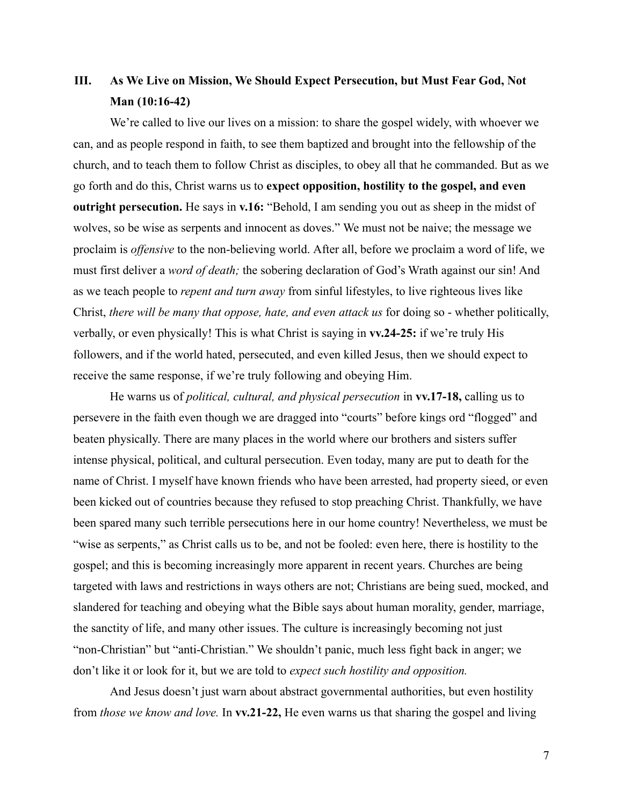# **III. As We Live on Mission, We Should Expect Persecution, but Must Fear God, Not Man (10:16-42)**

We're called to live our lives on a mission: to share the gospel widely, with whoever we can, and as people respond in faith, to see them baptized and brought into the fellowship of the church, and to teach them to follow Christ as disciples, to obey all that he commanded. But as we go forth and do this, Christ warns us to **expect opposition, hostility to the gospel, and even outright persecution.** He says in **v.16:** "Behold, I am sending you out as sheep in the midst of wolves, so be wise as serpents and innocent as doves." We must not be naive; the message we proclaim is *offensive* to the non-believing world. After all, before we proclaim a word of life, we must first deliver a *word of death;* the sobering declaration of God's Wrath against our sin! And as we teach people to *repent and turn away* from sinful lifestyles, to live righteous lives like Christ, *there will be many that oppose, hate, and even attack us* for doing so - whether politically, verbally, or even physically! This is what Christ is saying in **vv.24-25:** if we're truly His followers, and if the world hated, persecuted, and even killed Jesus, then we should expect to receive the same response, if we're truly following and obeying Him.

He warns us of *political, cultural, and physical persecution* in **vv.17-18,** calling us to persevere in the faith even though we are dragged into "courts" before kings ord "flogged" and beaten physically. There are many places in the world where our brothers and sisters suffer intense physical, political, and cultural persecution. Even today, many are put to death for the name of Christ. I myself have known friends who have been arrested, had property sieed, or even been kicked out of countries because they refused to stop preaching Christ. Thankfully, we have been spared many such terrible persecutions here in our home country! Nevertheless, we must be "wise as serpents," as Christ calls us to be, and not be fooled: even here, there is hostility to the gospel; and this is becoming increasingly more apparent in recent years. Churches are being targeted with laws and restrictions in ways others are not; Christians are being sued, mocked, and slandered for teaching and obeying what the Bible says about human morality, gender, marriage, the sanctity of life, and many other issues. The culture is increasingly becoming not just "non-Christian" but "anti-Christian." We shouldn't panic, much less fight back in anger; we don't like it or look for it, but we are told to *expect such hostility and opposition.*

And Jesus doesn't just warn about abstract governmental authorities, but even hostility from *those we know and love.* In **vv.21-22,** He even warns us that sharing the gospel and living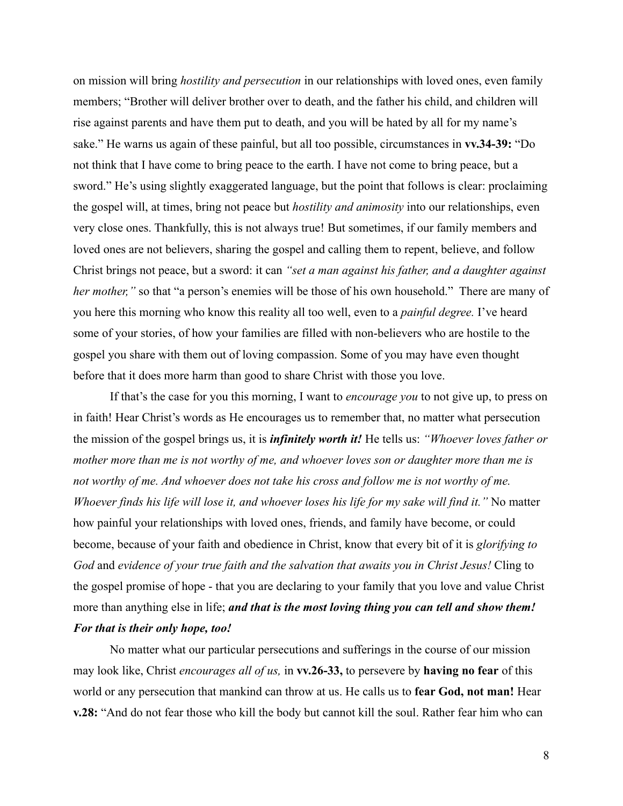on mission will bring *hostility and persecution* in our relationships with loved ones, even family members; "Brother will deliver brother over to death, and the father his child, and children will rise against parents and have them put to death, and you will be hated by all for my name's sake." He warns us again of these painful, but all too possible, circumstances in **vv.34-39:** "Do not think that I have come to bring peace to the earth. I have not come to bring peace, but a sword." He's using slightly exaggerated language, but the point that follows is clear: proclaiming the gospel will, at times, bring not peace but *hostility and animosity* into our relationships, even very close ones. Thankfully, this is not always true! But sometimes, if our family members and loved ones are not believers, sharing the gospel and calling them to repent, believe, and follow Christ brings not peace, but a sword: it can *"set a man against his father, and a daughter against her mother,*" so that "a person's enemies will be those of his own household." There are many of you here this morning who know this reality all too well, even to a *painful degree.* I've heard some of your stories, of how your families are filled with non-believers who are hostile to the gospel you share with them out of loving compassion. Some of you may have even thought before that it does more harm than good to share Christ with those you love.

If that's the case for you this morning, I want to *encourage you* to not give up, to press on in faith! Hear Christ's words as He encourages us to remember that, no matter what persecution the mission of the gospel brings us, it is *infinitely worth it!* He tells us: *"Whoever loves father or mother more than me is not worthy of me, and whoever loves son or daughter more than me is not worthy of me. And whoever does not take his cross and follow me is not worthy of me. Whoever finds his life will lose it, and whoever loses his life for my sake will find it."* No matter how painful your relationships with loved ones, friends, and family have become, or could become, because of your faith and obedience in Christ, know that every bit of it is *glorifying to God* and *evidence of your true faith and the salvation that awaits you in Christ Jesus!* Cling to the gospel promise of hope - that you are declaring to your family that you love and value Christ more than anything else in life; *and that is the most loving thing you can tell and show them! For that is their only hope, too!*

No matter what our particular persecutions and sufferings in the course of our mission may look like, Christ *encourages all of us,* in **vv.26-33,** to persevere by **having no fear** of this world or any persecution that mankind can throw at us. He calls us to **fear God, not man!** Hear **v.28:** "And do not fear those who kill the body but cannot kill the soul. Rather fear him who can